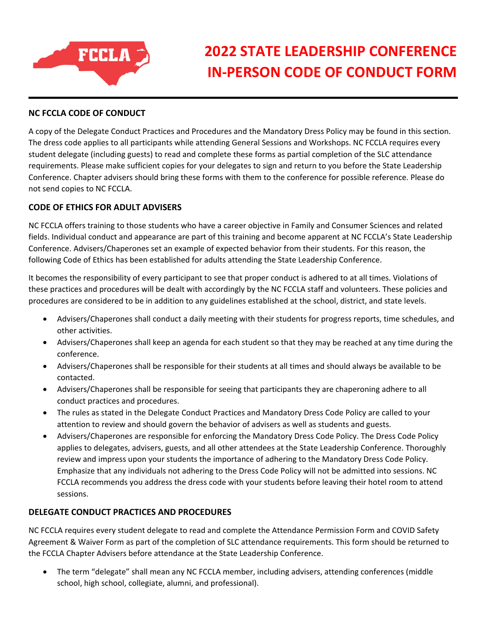

## **2022 STATE LEADERSHIP CONFERENCE IN‐PERSON CODE OF CONDUCT FORM**

## **NC FCCLA CODE OF CONDUCT**

A copy of the Delegate Conduct Practices and Procedures and the Mandatory Dress Policy may be found in this section. The dress code applies to all participants while attending General Sessions and Workshops. NC FCCLA requires every student delegate (including guests) to read and complete these forms as partial completion of the SLC attendance requirements. Please make sufficient copies for your delegates to sign and return to you before the State Leadership Conference. Chapter advisers should bring these forms with them to the conference for possible reference. Please do not send copies to NC FCCLA.

## **CODE OF ETHICS FOR ADULT ADVISERS**

NC FCCLA offers training to those students who have a career objective in Family and Consumer Sciences and related fields. Individual conduct and appearance are part of this training and become apparent at NC FCCLA's State Leadership Conference. Advisers/Chaperones set an example of expected behavior from their students. For this reason, the following Code of Ethics has been established for adults attending the State Leadership Conference.

It becomes the responsibility of every participant to see that proper conduct is adhered to at all times. Violations of these practices and procedures will be dealt with accordingly by the NC FCCLA staff and volunteers. These policies and procedures are considered to be in addition to any guidelines established at the school, district, and state levels.

- Advisers/Chaperones shall conduct a daily meeting with their students for progress reports, time schedules, and other activities.
- Advisers/Chaperones shall keep an agenda for each student so that they may be reached at any time during the conference.
- Advisers/Chaperones shall be responsible for their students at all times and should always be available to be contacted.
- Advisers/Chaperones shall be responsible for seeing that participants they are chaperoning adhere to all conduct practices and procedures.
- The rules as stated in the Delegate Conduct Practices and Mandatory Dress Code Policy are called to your attention to review and should govern the behavior of advisers as well as students and guests.
- Advisers/Chaperones are responsible for enforcing the Mandatory Dress Code Policy. The Dress Code Policy applies to delegates, advisers, guests, and all other attendees at the State Leadership Conference. Thoroughly review and impress upon your students the importance of adhering to the Mandatory Dress Code Policy. Emphasize that any individuals not adhering to the Dress Code Policy will not be admitted into sessions. NC FCCLA recommends you address the dress code with your students before leaving their hotel room to attend sessions.

## **DELEGATE CONDUCT PRACTICES AND PROCEDURES**

NC FCCLA requires every student delegate to read and complete the Attendance Permission Form and COVID Safety Agreement & Waiver Form as part of the completion of SLC attendance requirements. This form should be returned to the FCCLA Chapter Advisers before attendance at the State Leadership Conference.

 The term "delegate" shall mean any NC FCCLA member, including advisers, attending conferences (middle school, high school, collegiate, alumni, and professional).